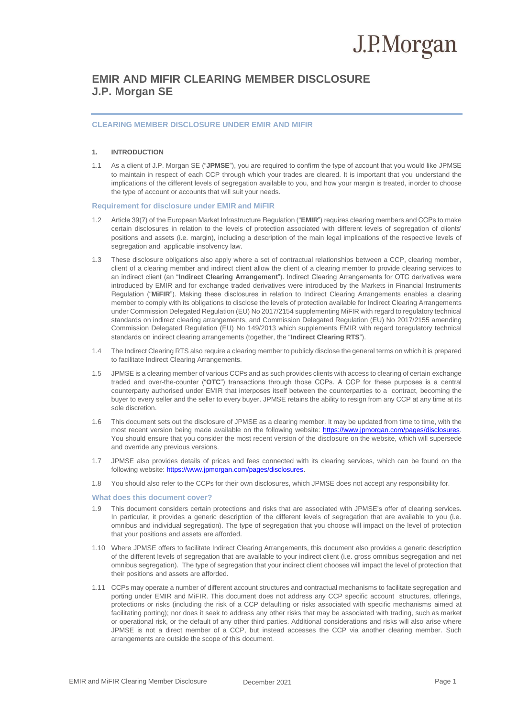### **EMIR AND MIFIR CLEARING MEMBER DISCLOSURE J.P. Morgan SE**

#### **CLEARING MEMBER DISCLOSURE UNDER EMIR AND MIFIR**

### **1. INTRODUCTION**

1.1 As a client of J.P. Morgan SE ("**JPMSE**"), you are required to confirm the type of account that you would like JPMSE to maintain in respect of each CCP through which your trades are cleared. It is important that you understand the implications of the different levels of segregation available to you, and how your margin is treated, inorder to choose the type of account or accounts that will suit your needs.

#### **Requirement for disclosure under EMIR and MiFIR**

- 1.2 Article 39(7) of the European Market Infrastructure Regulation ("**EMIR**") requires clearing members and CCPs to make certain disclosures in relation to the levels of protection associated with different levels of segregation of clients' positions and assets (i.e. margin), including a description of the main legal implications of the respective levels of segregation and applicable insolvency law.
- 1.3 These disclosure obligations also apply where a set of contractual relationships between a CCP, clearing member, client of a clearing member and indirect client allow the client of a clearing member to provide clearing services to an indirect client (an "**Indirect Clearing Arrangement**"). Indirect Clearing Arrangements for OTC derivatives were introduced by EMIR and for exchange traded derivatives were introduced by the Markets in Financial Instruments Regulation ("**MiFIR**"). Making these disclosures in relation to Indirect Clearing Arrangements enables a clearing member to comply with its obligations to disclose the levels of protection available for Indirect Clearing Arrangements under Commission Delegated Regulation (EU) No 2017/2154 supplementing MiFIR with regard to regulatory technical standards on indirect clearing arrangements, and Commission Delegated Regulation (EU) No 2017/2155 amending Commission Delegated Regulation (EU) No 149/2013 which supplements EMIR with regard toregulatory technical standards on indirect clearing arrangements (together, the "**Indirect Clearing RTS**").
- 1.4 The Indirect Clearing RTS also require a clearing member to publicly disclose the general terms on which it is prepared to facilitate Indirect Clearing Arrangements.
- 1.5 JPMSE is a clearing member of various CCPs and as such provides clients with access to clearing of certain exchange traded and over-the-counter ("**OTC**") transactions through those CCPs. A CCP for these purposes is a central counterparty authorised under EMIR that interposes itself between the counterparties to a contract, becoming the buyer to every seller and the seller to every buyer. JPMSE retains the ability to resign from any CCP at any time at its sole discretion.
- 1.6 This document sets out the disclosure of JPMSE as a clearing member. It may be updated from time to time, with the most recent version being made available on the following website: https://www.jpmorgan.com/pages/disclosures. You should ensure that you consider the most recent version of the disclosure on the website, which will supersede and override any previous versions.
- 1.7 JPMSE also provides details of prices and fees connected with its clearing services, which can be found on the following website: https:[//www.jpmorgan.com/pages/disclosures.](http://www.jpmorgan.com/pages/disclosures)
- 1.8 You should also refer to the CCPs for their own disclosures, which JPMSE does not accept any responsibility for.

#### **What does this document cover?**

- 1.9 This document considers certain protections and risks that are associated with JPMSE's offer of clearing services. In particular, it provides a generic description of the different levels of segregation that are available to you (i.e. omnibus and individual segregation). The type of segregation that you choose will impact on the level of protection that your positions and assets are afforded.
- 1.10 Where JPMSE offers to facilitate Indirect Clearing Arrangements, this document also provides a generic description of the different levels of segregation that are available to your indirect client (i.e. gross omnibus segregation and net omnibus segregation). The type of segregation that your indirect client chooses will impact the level of protection that their positions and assets are afforded.
- 1.11 CCPs may operate a number of different account structures and contractual mechanisms to facilitate segregation and porting under EMIR and MiFIR. This document does not address any CCP specific account structures, offerings, protections or risks (including the risk of a CCP defaulting or risks associated with specific mechanisms aimed at facilitating porting); nor does it seek to address any other risks that may be associated with trading, such as market or operational risk, or the default of any other third parties. Additional considerations and risks will also arise where JPMSE is not a direct member of a CCP, but instead accesses the CCP via another clearing member. Such arrangements are outside the scope of this document.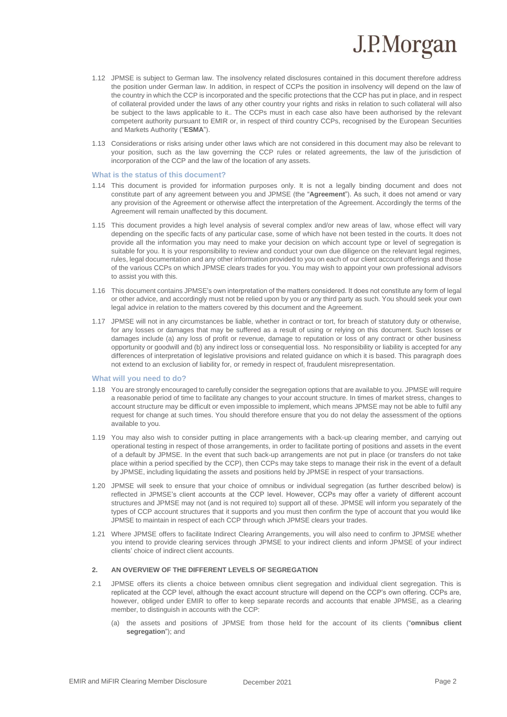- 1.12 JPMSE is subject to German law. The insolvency related disclosures contained in this document therefore address the position under German law. In addition, in respect of CCPs the position in insolvency will depend on the law of the country in which the CCP is incorporated and the specific protections that the CCP has put in place, and in respect of collateral provided under the laws of any other country your rights and risks in relation to such collateral will also be subject to the laws applicable to it.. The CCPs must in each case also have been authorised by the relevant competent authority pursuant to EMIR or, in respect of third country CCPs, recognised by the European Securities and Markets Authority ("**ESMA**").
- 1.13 Considerations or risks arising under other laws which are not considered in this document may also be relevant to your position, such as the law governing the CCP rules or related agreements, the law of the jurisdiction of incorporation of the CCP and the law of the location of any assets.

#### **What is the status of this document?**

- 1.14 This document is provided for information purposes only. It is not a legally binding document and does not constitute part of any agreement between you and JPMSE (the "**Agreement**"). As such, it does not amend or vary any provision of the Agreement or otherwise affect the interpretation of the Agreement. Accordingly the terms of the Agreement will remain unaffected by this document.
- 1.15 This document provides a high level analysis of several complex and/or new areas of law, whose effect will vary depending on the specific facts of any particular case, some of which have not been tested in the courts. It does not provide all the information you may need to make your decision on which account type or level of segregation is suitable for you. It is your responsibility to review and conduct your own due diligence on the relevant legal regimes, rules, legal documentation and any other information provided to you on each of our client account offerings and those of the various CCPs on which JPMSE clears trades for you. You may wish to appoint your own professional advisors to assist you with this.
- 1.16 This document contains JPMSE's own interpretation of the matters considered. It does not constitute any form of legal or other advice, and accordingly must not be relied upon by you or any third party as such. You should seek your own legal advice in relation to the matters covered by this document and the Agreement.
- 1.17 JPMSE will not in any circumstances be liable, whether in contract or tort, for breach of statutory duty or otherwise, for any losses or damages that may be suffered as a result of using or relying on this document. Such losses or damages include (a) any loss of profit or revenue, damage to reputation or loss of any contract or other business opportunity or goodwill and (b) any indirect loss or consequential loss. No responsibility or liability is accepted for any differences of interpretation of legislative provisions and related guidance on which it is based. This paragraph does not extend to an exclusion of liability for, or remedy in respect of, fraudulent misrepresentation.

#### **What will you need to do?**

- 1.18 You are strongly encouraged to carefully consider the segregation options that are available to you. JPMSE will require a reasonable period of time to facilitate any changes to your account structure. In times of market stress, changes to account structure may be difficult or even impossible to implement, which means JPMSE may not be able to fulfil any request for change at such times. You should therefore ensure that you do not delay the assessment of the options available to you.
- 1.19 You may also wish to consider putting in place arrangements with a back-up clearing member, and carrying out operational testing in respect of those arrangements, in order to facilitate porting of positions and assets in the event of a default by JPMSE. In the event that such back-up arrangements are not put in place (or transfers do not take place within a period specified by the CCP), then CCPs may take steps to manage their risk in the event of a default by JPMSE, including liquidating the assets and positions held by JPMSE in respect of your transactions.
- 1.20 JPMSE will seek to ensure that your choice of omnibus or individual segregation (as further described below) is reflected in JPMSE's client accounts at the CCP level. However, CCPs may offer a variety of different account structures and JPMSE may not (and is not required to) support all of these. JPMSE will inform you separately of the types of CCP account structures that it supports and you must then confirm the type of account that you would like JPMSE to maintain in respect of each CCP through which JPMSE clears your trades.
- 1.21 Where JPMSE offers to facilitate Indirect Clearing Arrangements, you will also need to confirm to JPMSE whether you intend to provide clearing services through JPMSE to your indirect clients and inform JPMSE of your indirect clients' choice of indirect client accounts.

#### **2. AN OVERVIEW OF THE DIFFERENT LEVELS OF SEGREGATION**

- 2.1 JPMSE offers its clients a choice between omnibus client segregation and individual client segregation. This is replicated at the CCP level, although the exact account structure will depend on the CCP's own offering. CCPs are, however, obliged under EMIR to offer to keep separate records and accounts that enable JPMSE, as a clearing member, to distinguish in accounts with the CCP:
	- (a) the assets and positions of JPMSE from those held for the account of its clients ("**omnibus client segregation**"); and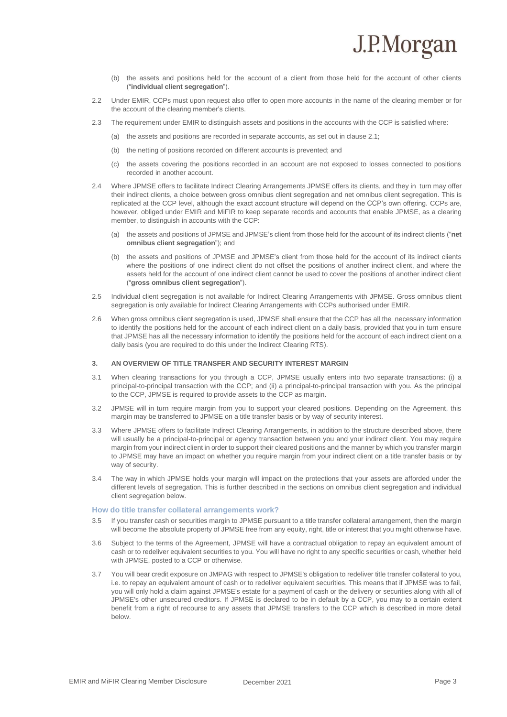- (b) the assets and positions held for the account of a client from those held for the account of other clients ("**individual client segregation**").
- 2.2 Under EMIR, CCPs must upon request also offer to open more accounts in the name of the clearing member or for the account of the clearing member's clients.
- 2.3 The requirement under EMIR to distinguish assets and positions in the accounts with the CCP is satisfied where:
	- (a) the assets and positions are recorded in separate accounts, as set out in clause 2.1;
	- (b) the netting of positions recorded on different accounts is prevented; and
	- (c) the assets covering the positions recorded in an account are not exposed to losses connected to positions recorded in another account.
- 2.4 Where JPMSE offers to facilitate Indirect Clearing Arrangements JPMSE offers its clients, and they in turn may offer their indirect clients, a choice between gross omnibus client segregation and net omnibus client segregation. This is replicated at the CCP level, although the exact account structure will depend on the CCP's own offering. CCPs are, however, obliged under EMIR and MiFIR to keep separate records and accounts that enable JPMSE, as a clearing member, to distinguish in accounts with the CCP:
	- (a) the assets and positions of JPMSE and JPMSE's client from those held for the account of its indirect clients ("**net omnibus client segregation**"); and
	- (b) the assets and positions of JPMSE and JPMSE's client from those held for the account of its indirect clients where the positions of one indirect client do not offset the positions of another indirect client, and where the assets held for the account of one indirect client cannot be used to cover the positions of another indirect client ("**gross omnibus client segregation**").
- 2.5 Individual client segregation is not available for Indirect Clearing Arrangements with JPMSE. Gross omnibus client segregation is only available for Indirect Clearing Arrangements with CCPs authorised under EMIR.
- 2.6 When gross omnibus client segregation is used, JPMSE shall ensure that the CCP has all the necessary information to identify the positions held for the account of each indirect client on a daily basis, provided that you in turn ensure that JPMSE has all the necessary information to identify the positions held for the account of each indirect client on a daily basis (you are required to do this under the Indirect Clearing RTS).

#### **3. AN OVERVIEW OF TITLE TRANSFER AND SECURITY INTEREST MARGIN**

- 3.1 When clearing transactions for you through a CCP, JPMSE usually enters into two separate transactions: (i) a principal-to-principal transaction with the CCP; and (ii) a principal-to-principal transaction with you. As the principal to the CCP, JPMSE is required to provide assets to the CCP as margin.
- 3.2 JPMSE will in turn require margin from you to support your cleared positions. Depending on the Agreement, this margin may be transferred to JPMSE on a title transfer basis or by way of security interest.
- 3.3 Where JPMSE offers to facilitate Indirect Clearing Arrangements, in addition to the structure described above, there will usually be a principal-to-principal or agency transaction between you and your indirect client. You may require margin from your indirect client in order to support their cleared positions and the manner by which you transfer margin to JPMSE may have an impact on whether you require margin from your indirect client on a title transfer basis or by way of security.
- 3.4 The way in which JPMSE holds your margin will impact on the protections that your assets are afforded under the different levels of segregation. This is further described in the sections on omnibus client segregation and individual client segregation below.

### **How do title transfer collateral arrangements work?**

- If you transfer cash or securities margin to JPMSE pursuant to a title transfer collateral arrangement, then the margin will become the absolute property of JPMSE free from any equity, right, title or interest that you might otherwise have.
- 3.6 Subject to the terms of the Agreement, JPMSE will have a contractual obligation to repay an equivalent amount of cash or to redeliver equivalent securities to you. You will have no right to any specific securities or cash, whether held with JPMSE, posted to a CCP or otherwise.
- 3.7 You will bear credit exposure on JMPAG with respect to JPMSE's obligation to redeliver title transfer collateral to you, i.e. to repay an equivalent amount of cash or to redeliver equivalent securities. This means that if JPMSE was to fail, you will only hold a claim against JPMSE's estate for a payment of cash or the delivery or securities along with all of JPMSE's other unsecured creditors. If JPMSE is declared to be in default by a CCP, you may to a certain extent benefit from a right of recourse to any assets that JPMSE transfers to the CCP which is described in more detail below.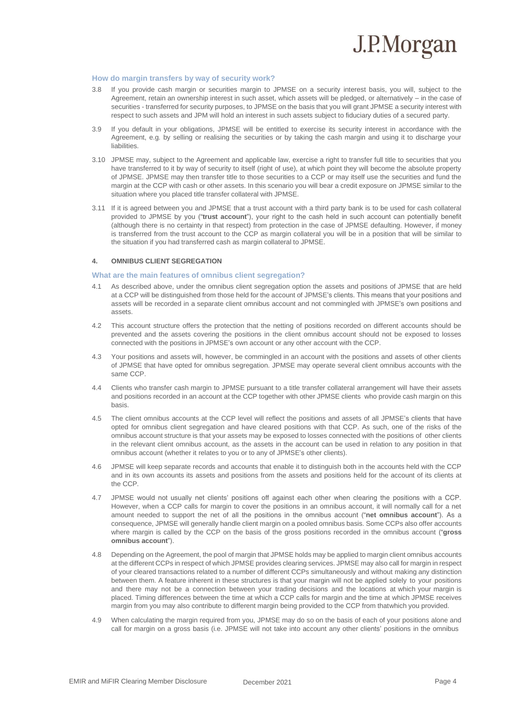

#### **How do margin transfers by way of security work?**

- 3.8 If you provide cash margin or securities margin to JPMSE on a security interest basis, you will, subject to the Agreement, retain an ownership interest in such asset, which assets will be pledged, or alternatively – in the case of securities - transferred for security purposes, to JPMSE on the basis that you will grant JPMSE a security interest with respect to such assets and JPM will hold an interest in such assets subject to fiduciary duties of a secured party.
- 3.9 If you default in your obligations, JPMSE will be entitled to exercise its security interest in accordance with the Agreement, e.g. by selling or realising the securities or by taking the cash margin and using it to discharge your liabilities.
- 3.10 JPMSE may, subject to the Agreement and applicable law, exercise a right to transfer full title to securities that you have transferred to it by way of security to itself (right of use), at which point they will become the absolute property of JPMSE. JPMSE may then transfer title to those securities to a CCP or may itself use the securities and fund the margin at the CCP with cash or other assets. In this scenario you will bear a credit exposure on JPMSE similar to the situation where you placed title transfer collateral with JPMSE.
- 3.11 If it is agreed between you and JPMSE that a trust account with a third party bank is to be used for cash collateral provided to JPMSE by you ("**trust account**"), your right to the cash held in such account can potentially benefit (although there is no certainty in that respect) from protection in the case of JPMSE defaulting. However, if money is transferred from the trust account to the CCP as margin collateral you will be in a position that will be similar to the situation if you had transferred cash as margin collateral to JPMSE.

#### **4. OMNIBUS CLIENT SEGREGATION**

#### **What are the main features of omnibus client segregation?**

- 4.1 As described above, under the omnibus client segregation option the assets and positions of JPMSE that are held at a CCP will be distinguished from those held for the account of JPMSE's clients. This means that your positions and assets will be recorded in a separate client omnibus account and not commingled with JPMSE's own positions and assets.
- 4.2 This account structure offers the protection that the netting of positions recorded on different accounts should be prevented and the assets covering the positions in the client omnibus account should not be exposed to losses connected with the positions in JPMSE's own account or any other account with the CCP.
- 4.3 Your positions and assets will, however, be commingled in an account with the positions and assets of other clients of JPMSE that have opted for omnibus segregation. JPMSE may operate several client omnibus accounts with the same CCP.
- 4.4 Clients who transfer cash margin to JPMSE pursuant to a title transfer collateral arrangement will have their assets and positions recorded in an account at the CCP together with other JPMSE clients who provide cash margin on this basis.
- 4.5 The client omnibus accounts at the CCP level will reflect the positions and assets of all JPMSE's clients that have opted for omnibus client segregation and have cleared positions with that CCP. As such, one of the risks of the omnibus account structure is that your assets may be exposed to losses connected with the positions of other clients in the relevant client omnibus account, as the assets in the account can be used in relation to any position in that omnibus account (whether it relates to you or to any of JPMSE's other clients).
- 4.6 JPMSE will keep separate records and accounts that enable it to distinguish both in the accounts held with the CCP and in its own accounts its assets and positions from the assets and positions held for the account of its clients at the CCP.
- 4.7 JPMSE would not usually net clients' positions off against each other when clearing the positions with a CCP. However, when a CCP calls for margin to cover the positions in an omnibus account, it will normally call for a net amount needed to support the net of all the positions in the omnibus account ("**net omnibus account**"). As a consequence, JPMSE will generally handle client margin on a pooled omnibus basis. Some CCPs also offer accounts where margin is called by the CCP on the basis of the gross positions recorded in the omnibus account ("**gross omnibus account**").
- 4.8 Depending on the Agreement, the pool of margin that JPMSE holds may be applied to margin client omnibus accounts at the different CCPs in respect of which JPMSE provides clearing services. JPMSE may also call for margin in respect of your cleared transactions related to a number of different CCPs simultaneously and without making any distinction between them. A feature inherent in these structures is that your margin will not be applied solely to your positions and there may not be a connection between your trading decisions and the locations at which your margin is placed. Timing differences between the time at which a CCP calls for margin and the time at which JPMSE receives margin from you may also contribute to different margin being provided to the CCP from thatwhich you provided.
- 4.9 When calculating the margin required from you, JPMSE may do so on the basis of each of your positions alone and call for margin on a gross basis (i.e. JPMSE will not take into account any other clients' positions in the omnibus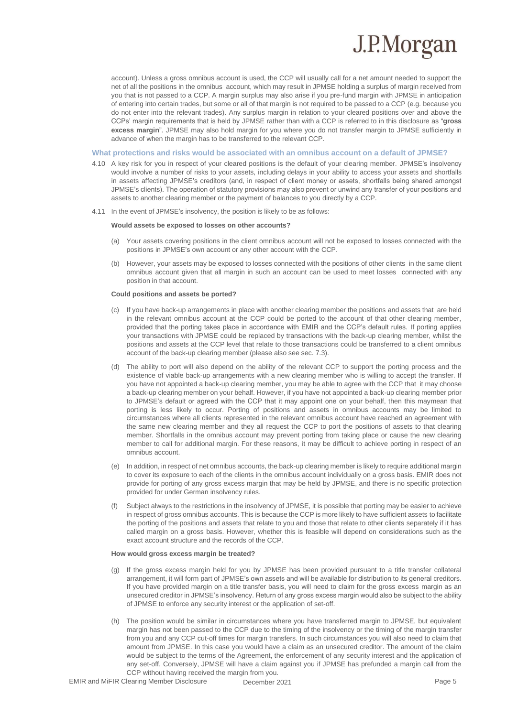

account). Unless a gross omnibus account is used, the CCP will usually call for a net amount needed to support the net of all the positions in the omnibus account, which may result in JPMSE holding a surplus of margin received from you that is not passed to a CCP. A margin surplus may also arise if you pre-fund margin with JPMSE in anticipation of entering into certain trades, but some or all of that margin is not required to be passed to a CCP (e.g. because you do not enter into the relevant trades). Any surplus margin in relation to your cleared positions over and above the CCPs' margin requirements that is held by JPMSE rather than with a CCP is referred to in this disclosure as "**gross excess margin**". JPMSE may also hold margin for you where you do not transfer margin to JPMSE sufficiently in advance of when the margin has to be transferred to the relevant CCP.

**What protections and risks would be associated with an omnibus account on a default of JPMSE?**

- 4.10 A key risk for you in respect of your cleared positions is the default of your clearing member. JPMSE's insolvency would involve a number of risks to your assets, including delays in your ability to access your assets and shortfalls in assets affecting JPMSE's creditors (and, in respect of client money or assets, shortfalls being shared amongst JPMSE's clients). The operation of statutory provisions may also prevent or unwind any transfer of your positions and assets to another clearing member or the payment of balances to you directly by a CCP.
- 4.11 In the event of JPMSE's insolvency, the position is likely to be as follows:

#### **Would assets be exposed to losses on other accounts?**

- (a) Your assets covering positions in the client omnibus account will not be exposed to losses connected with the positions in JPMSE's own account or any other account with the CCP.
- (b) However, your assets may be exposed to losses connected with the positions of other clients in the same client omnibus account given that all margin in such an account can be used to meet losses connected with any position in that account.

#### **Could positions and assets be ported?**

- (c) If you have back-up arrangements in place with another clearing member the positions and assets that are held in the relevant omnibus account at the CCP could be ported to the account of that other clearing member, provided that the porting takes place in accordance with EMIR and the CCP's default rules. If porting applies your transactions with JPMSE could be replaced by transactions with the back-up clearing member, whilst the positions and assets at the CCP level that relate to those transactions could be transferred to a client omnibus account of the back-up clearing member (please also see sec. 7.3).
- (d) The ability to port will also depend on the ability of the relevant CCP to support the porting process and the existence of viable back-up arrangements with a new clearing member who is willing to accept the transfer. If you have not appointed a back-up clearing member, you may be able to agree with the CCP that it may choose a back-up clearing member on your behalf. However, if you have not appointed a back-up clearing member prior to JPMSE's default or agreed with the CCP that it may appoint one on your behalf, then this maymean that porting is less likely to occur. Porting of positions and assets in omnibus accounts may be limited to circumstances where all clients represented in the relevant omnibus account have reached an agreement with the same new clearing member and they all request the CCP to port the positions of assets to that clearing member. Shortfalls in the omnibus account may prevent porting from taking place or cause the new clearing member to call for additional margin. For these reasons, it may be difficult to achieve porting in respect of an omnibus account.
- (e) In addition, in respect of net omnibus accounts, the back-up clearing member is likely to require additional margin to cover its exposure to each of the clients in the omnibus account individually on a gross basis. EMIR does not provide for porting of any gross excess margin that may be held by JPMSE, and there is no specific protection provided for under German insolvency rules.
- (f) Subject always to the restrictions in the insolvency of JPMSE, it is possible that porting may be easier to achieve in respect of gross omnibus accounts. This is because the CCP is more likely to have sufficient assets to facilitate the porting of the positions and assets that relate to you and those that relate to other clients separately if it has called margin on a gross basis. However, whether this is feasible will depend on considerations such as the exact account structure and the records of the CCP.

#### **How would gross excess margin be treated?**

- (g) If the gross excess margin held for you by JPMSE has been provided pursuant to a title transfer collateral arrangement, it will form part of JPMSE's own assets and will be available for distribution to its general creditors. If you have provided margin on a title transfer basis, you will need to claim for the gross excess margin as an unsecured creditor in JPMSE's insolvency. Return of any gross excess margin would also be subject to the ability of JPMSE to enforce any security interest or the application of set-off.
- (h) The position would be similar in circumstances where you have transferred margin to JPMSE, but equivalent margin has not been passed to the CCP due to the timing of the insolvency or the timing of the margin transfer from you and any CCP cut-off times for margin transfers. In such circumstances you will also need to claim that amount from JPMSE. In this case you would have a claim as an unsecured creditor. The amount of the claim would be subject to the terms of the Agreement, the enforcement of any security interest and the application of any set-off. Conversely, JPMSE will have a claim against you if JPMSE has prefunded a margin call from the CCP without having received the margin from you.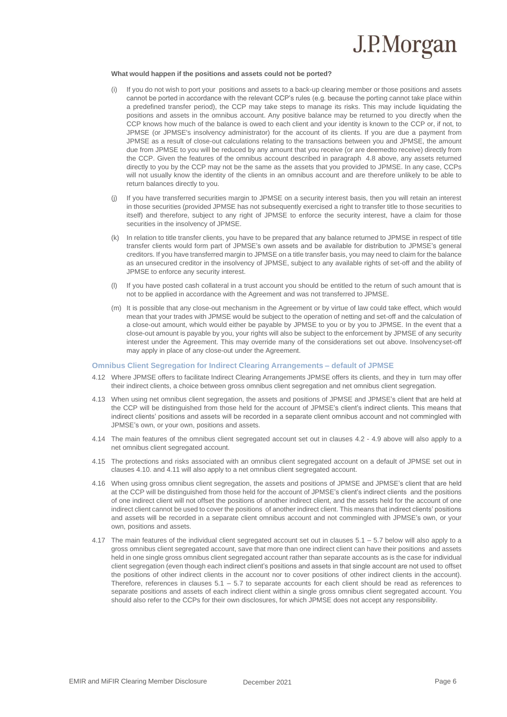

#### **What would happen if the positions and assets could not be ported?**

- If you do not wish to port your positions and assets to a back-up clearing member or those positions and assets cannot be ported in accordance with the relevant CCP's rules (e.g. because the porting cannot take place within a predefined transfer period), the CCP may take steps to manage its risks. This may include liquidating the positions and assets in the omnibus account. Any positive balance may be returned to you directly when the CCP knows how much of the balance is owed to each client and your identity is known to the CCP or, if not, to JPMSE (or JPMSE's insolvency administrator) for the account of its clients. If you are due a payment from JPMSE as a result of close-out calculations relating to the transactions between you and JPMSE, the amount due from JPMSE to you will be reduced by any amount that you receive (or are deemedto receive) directly from the CCP. Given the features of the omnibus account described in paragraph 4.8 above, any assets returned directly to you by the CCP may not be the same as the assets that you provided to JPMSE. In any case, CCPs will not usually know the identity of the clients in an omnibus account and are therefore unlikely to be able to return balances directly to you.
- If you have transferred securities margin to JPMSE on a security interest basis, then you will retain an interest in those securities (provided JPMSE has not subsequently exercised a right to transfer title to those securities to itself) and therefore, subject to any right of JPMSE to enforce the security interest, have a claim for those securities in the insolvency of JPMSE.
- (k) In relation to title transfer clients, you have to be prepared that any balance returned to JPMSE in respect of title transfer clients would form part of JPMSE's own assets and be available for distribution to JPMSE's general creditors. If you have transferred margin to JPMSE on a title transfer basis, you may need to claim for the balance as an unsecured creditor in the insolvency of JPMSE, subject to any available rights of set-off and the ability of JPMSE to enforce any security interest.
- (l) If you have posted cash collateral in a trust account you should be entitled to the return of such amount that is not to be applied in accordance with the Agreement and was not transferred to JPMSE.
- (m) It is possible that any close-out mechanism in the Agreement or by virtue of law could take effect, which would mean that your trades with JPMSE would be subject to the operation of netting and set-off and the calculation of a close-out amount, which would either be payable by JPMSE to you or by you to JPMSE. In the event that a close-out amount is payable by you, your rights will also be subject to the enforcement by JPMSE of any security interest under the Agreement. This may override many of the considerations set out above. Insolvencyset-off may apply in place of any close-out under the Agreement.

#### **Omnibus Client Segregation for Indirect Clearing Arrangements – default of JPMSE**

- 4.12 Where JPMSE offers to facilitate Indirect Clearing Arrangements JPMSE offers its clients, and they in turn may offer their indirect clients, a choice between gross omnibus client segregation and net omnibus client segregation.
- 4.13 When using net omnibus client segregation, the assets and positions of JPMSE and JPMSE's client that are held at the CCP will be distinguished from those held for the account of JPMSE's client's indirect clients. This means that indirect clients' positions and assets will be recorded in a separate client omnibus account and not commingled with JPMSE's own, or your own, positions and assets.
- 4.14 The main features of the omnibus client segregated account set out in clauses 4.2 4.9 above will also apply to a net omnibus client segregated account.
- 4.15 The protections and risks associated with an omnibus client segregated account on a default of JPMSE set out in clauses 4.10. and 4.11 will also apply to a net omnibus client segregated account.
- 4.16 When using gross omnibus client segregation, the assets and positions of JPMSE and JPMSE's client that are held at the CCP will be distinguished from those held for the account of JPMSE's client's indirect clients and the positions of one indirect client will not offset the positions of another indirect client, and the assets held for the account of one indirect client cannot be used to cover the positions of another indirect client. This means that indirect clients' positions and assets will be recorded in a separate client omnibus account and not commingled with JPMSE's own, or your own, positions and assets.
- 4.17 The main features of the individual client segregated account set out in clauses 5.1 5.7 below will also apply to a gross omnibus client segregated account, save that more than one indirect client can have their positions and assets held in one single gross omnibus client segregated account rather than separate accounts as is the case for individual client segregation (even though each indirect client's positions and assets in that single account are not used to offset the positions of other indirect clients in the account nor to cover positions of other indirect clients in the account). Therefore, references in clauses 5.1 – 5.7 to separate accounts for each client should be read as references to separate positions and assets of each indirect client within a single gross omnibus client segregated account. You should also refer to the CCPs for their own disclosures, for which JPMSE does not accept any responsibility.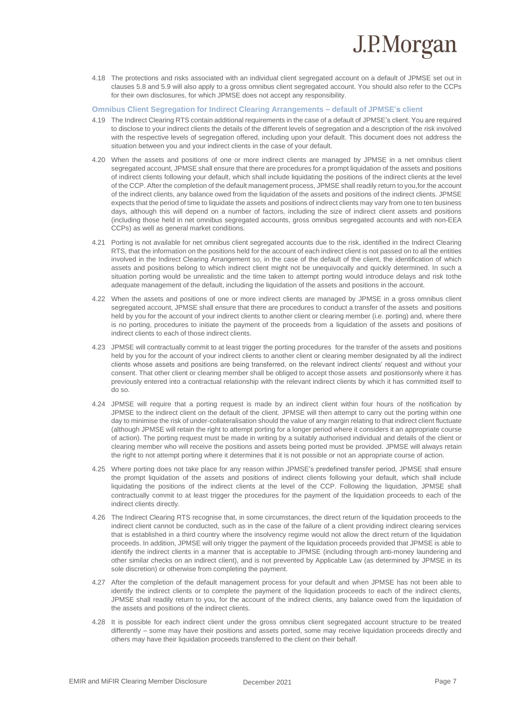

4.18 The protections and risks associated with an individual client segregated account on a default of JPMSE set out in clauses 5.8 and 5.9 will also apply to a gross omnibus client segregated account. You should also refer to the CCPs for their own disclosures, for which JPMSE does not accept any responsibility.

#### **Omnibus Client Segregation for Indirect Clearing Arrangements – default of JPMSE's client**

- 4.19 The Indirect Clearing RTS contain additional requirements in the case of a default of JPMSE's client. You are required to disclose to your indirect clients the details of the different levels of segregation and a description of the risk involved with the respective levels of segregation offered, including upon your default. This document does not address the situation between you and your indirect clients in the case of your default.
- 4.20 When the assets and positions of one or more indirect clients are managed by JPMSE in a net omnibus client segregated account, JPMSE shall ensure that there are procedures for a prompt liquidation of the assets and positions of indirect clients following your default, which shall include liquidating the positions of the indirect clients at the level of the CCP. After the completion of the default management process, JPMSE shall readily return to you,for the account of the indirect clients, any balance owed from the liquidation of the assets and positions of the indirect clients. JPMSE expects that the period of time to liquidate the assets and positions of indirect clients may vary from one to ten business days, although this will depend on a number of factors, including the size of indirect client assets and positions (including those held in net omnibus segregated accounts, gross omnibus segregated accounts and with non-EEA CCPs) as well as general market conditions.
- 4.21 Porting is not available for net omnibus client segregated accounts due to the risk, identified in the Indirect Clearing RTS, that the information on the positions held for the account of each indirect client is not passed on to all the entities involved in the Indirect Clearing Arrangement so, in the case of the default of the client, the identification of which assets and positions belong to which indirect client might not be unequivocally and quickly determined. In such a situation porting would be unrealistic and the time taken to attempt porting would introduce delays and risk tothe adequate management of the default, including the liquidation of the assets and positions in the account.
- 4.22 When the assets and positions of one or more indirect clients are managed by JPMSE in a gross omnibus client segregated account, JPMSE shall ensure that there are procedures to conduct a transfer of the assets and positions held by you for the account of your indirect clients to another client or clearing member (i.e. porting) and, where there is no porting, procedures to initiate the payment of the proceeds from a liquidation of the assets and positions of indirect clients to each of those indirect clients.
- 4.23 JPMSE will contractually commit to at least trigger the porting procedures for the transfer of the assets and positions held by you for the account of your indirect clients to another client or clearing member designated by all the indirect clients whose assets and positions are being transferred, on the relevant indirect clients' request and without your consent. That other client or clearing member shall be obliged to accept those assets and positionsonly where it has previously entered into a contractual relationship with the relevant indirect clients by which it has committed itself to do so.
- 4.24 JPMSE will require that a porting request is made by an indirect client within four hours of the notification by JPMSE to the indirect client on the default of the client. JPMSE will then attempt to carry out the porting within one day to minimise the risk of under-collateralisation should the value of any margin relating to that indirect client fluctuate (although JPMSE will retain the right to attempt porting for a longer period where it considers it an appropriate course of action). The porting request must be made in writing by a suitably authorised individual and details of the client or clearing member who will receive the positions and assets being ported must be provided. JPMSE will always retain the right to not attempt porting where it determines that it is not possible or not an appropriate course of action.
- 4.25 Where porting does not take place for any reason within JPMSE's predefined transfer period, JPMSE shall ensure the prompt liquidation of the assets and positions of indirect clients following your default, which shall include liquidating the positions of the indirect clients at the level of the CCP. Following the liquidation, JPMSE shall contractually commit to at least trigger the procedures for the payment of the liquidation proceeds to each of the indirect clients directly.
- 4.26 The Indirect Clearing RTS recognise that, in some circumstances, the direct return of the liquidation proceeds to the indirect client cannot be conducted, such as in the case of the failure of a client providing indirect clearing services that is established in a third country where the insolvency regime would not allow the direct return of the liquidation proceeds. In addition, JPMSE will only trigger the payment of the liquidation proceeds provided that JPMSE is able to identify the indirect clients in a manner that is acceptable to JPMSE (including through anti-money laundering and other similar checks on an indirect client), and is not prevented by Applicable Law (as determined by JPMSE in its sole discretion) or otherwise from completing the payment.
- 4.27 After the completion of the default management process for your default and when JPMSE has not been able to identify the indirect clients or to complete the payment of the liquidation proceeds to each of the indirect clients, JPMSE shall readily return to you, for the account of the indirect clients, any balance owed from the liquidation of the assets and positions of the indirect clients.
- 4.28 It is possible for each indirect client under the gross omnibus client segregated account structure to be treated differently – some may have their positions and assets ported, some may receive liquidation proceeds directly and others may have their liquidation proceeds transferred to the client on their behalf.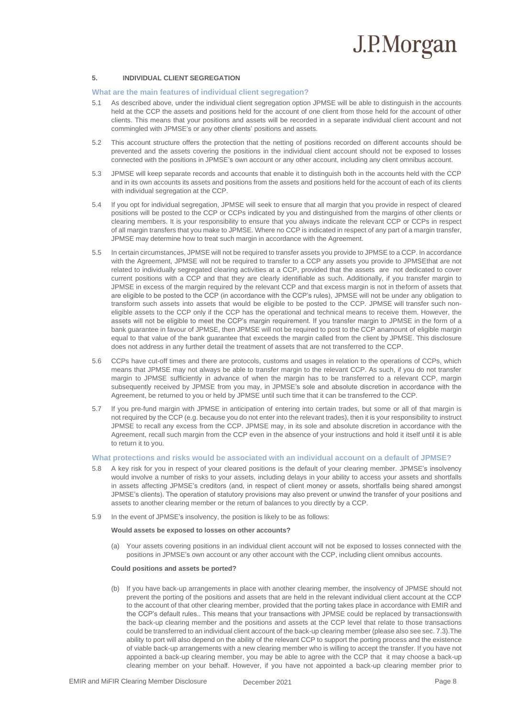#### **5. INDIVIDUAL CLIENT SEGREGATION**

#### **What are the main features of individual client segregation?**

- 5.1 As described above, under the individual client segregation option JPMSE will be able to distinguish in the accounts held at the CCP the assets and positions held for the account of one client from those held for the account of other clients. This means that your positions and assets will be recorded in a separate individual client account and not commingled with JPMSE's or any other clients' positions and assets.
- 5.2 This account structure offers the protection that the netting of positions recorded on different accounts should be prevented and the assets covering the positions in the individual client account should not be exposed to losses connected with the positions in JPMSE's own account or any other account, including any client omnibus account.
- 5.3 JPMSE will keep separate records and accounts that enable it to distinguish both in the accounts held with the CCP and in its own accounts its assets and positions from the assets and positions held for the account of each of its clients with individual segregation at the CCP.
- 5.4 If you opt for individual segregation, JPMSE will seek to ensure that all margin that you provide in respect of cleared positions will be posted to the CCP or CCPs indicated by you and distinguished from the margins of other clients or clearing members. It is your responsibility to ensure that you always indicate the relevant CCP or CCPs in respect of all margin transfers that you make to JPMSE. Where no CCP is indicated in respect of any part of a margin transfer, JPMSE may determine how to treat such margin in accordance with the Agreement.
- 5.5 In certain circumstances, JPMSE will not be required to transfer assets you provide to JPMSE to a CCP. In accordance with the Agreement, JPMSE will not be required to transfer to a CCP any assets you provide to JPMSEthat are not related to individually segregated clearing activities at a CCP, provided that the assets are not dedicated to cover current positions with a CCP and that they are clearly identifiable as such. Additionally, if you transfer margin to JPMSE in excess of the margin required by the relevant CCP and that excess margin is not in theform of assets that are eligible to be posted to the CCP (in accordance with the CCP's rules), JPMSE will not be under any obligation to transform such assets into assets that would be eligible to be posted to the CCP. JPMSE will transfer such noneligible assets to the CCP only if the CCP has the operational and technical means to receive them. However, the assets will not be eligible to meet the CCP's margin requirement. If you transfer margin to JPMSE in the form of a bank guarantee in favour of JPMSE, then JPMSE will not be required to post to the CCP anamount of eligible margin equal to that value of the bank guarantee that exceeds the margin called from the client by JPMSE. This disclosure does not address in any further detail the treatment of assets that are not transferred to the CCP.
- 5.6 CCPs have cut-off times and there are protocols, customs and usages in relation to the operations of CCPs, which means that JPMSE may not always be able to transfer margin to the relevant CCP. As such, if you do not transfer margin to JPMSE sufficiently in advance of when the margin has to be transferred to a relevant CCP, margin subsequently received by JPMSE from you may, in JPMSE's sole and absolute discretion in accordance with the Agreement, be returned to you or held by JPMSE until such time that it can be transferred to the CCP.
- 5.7 If you pre-fund margin with JPMSE in anticipation of entering into certain trades, but some or all of that margin is not required by the CCP (e.g. because you do not enter into the relevant trades), then it is your responsibility to instruct JPMSE to recall any excess from the CCP. JPMSE may, in its sole and absolute discretion in accordance with the Agreement, recall such margin from the CCP even in the absence of your instructions and hold it itself until it is able to return it to you.

#### **What protections and risks would be associated with an individual account on a default of JPMSE?**

- 5.8 A key risk for you in respect of your cleared positions is the default of your clearing member. JPMSE's insolvency would involve a number of risks to your assets, including delays in your ability to access your assets and shortfalls in assets affecting JPMSE's creditors (and, in respect of client money or assets, shortfalls being shared amongst JPMSE's clients). The operation of statutory provisions may also prevent or unwind the transfer of your positions and assets to another clearing member or the return of balances to you directly by a CCP.
- 5.9 In the event of JPMSE's insolvency, the position is likely to be as follows:

#### **Would assets be exposed to losses on other accounts?**

(a) Your assets covering positions in an individual client account will not be exposed to losses connected with the positions in JPMSE's own account or any other account with the CCP, including client omnibus accounts.

#### **Could positions and assets be ported?**

(b) If you have back-up arrangements in place with another clearing member, the insolvency of JPMSE should not prevent the porting of the positions and assets that are held in the relevant individual client account at the CCP to the account of that other clearing member, provided that the porting takes place in accordance with EMIR and the CCP's default rules.. This means that your transactions with JPMSE could be replaced by transactionswith the back-up clearing member and the positions and assets at the CCP level that relate to those transactions could be transferred to an individual client account of the back-up clearing member (please also see sec. 7.3).The ability to port will also depend on the ability of the relevant CCP to support the porting process and the existence of viable back-up arrangements with a new clearing member who is willing to accept the transfer. If you have not appointed a back-up clearing member, you may be able to agree with the CCP that it may choose a back-up clearing member on your behalf. However, if you have not appointed a back-up clearing member prior to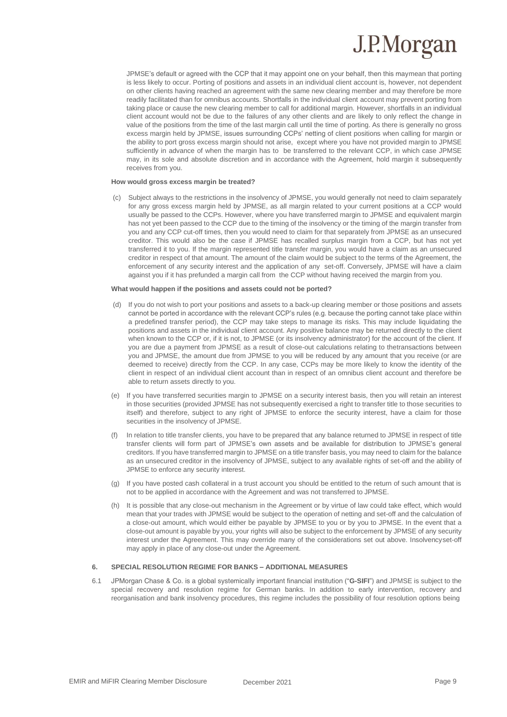JPMSE's default or agreed with the CCP that it may appoint one on your behalf, then this maymean that porting is less likely to occur. Porting of positions and assets in an individual client account is, however, not dependent on other clients having reached an agreement with the same new clearing member and may therefore be more readily facilitated than for omnibus accounts. Shortfalls in the individual client account may prevent porting from taking place or cause the new clearing member to call for additional margin. However, shortfalls in an individual client account would not be due to the failures of any other clients and are likely to only reflect the change in value of the positions from the time of the last margin call until the time of porting. As there is generally no gross excess margin held by JPMSE, issues surrounding CCPs' netting of client positions when calling for margin or the ability to port gross excess margin should not arise, except where you have not provided margin to JPMSE sufficiently in advance of when the margin has to be transferred to the relevant CCP, in which case JPMSE may, in its sole and absolute discretion and in accordance with the Agreement, hold margin it subsequently receives from you.

#### **How would gross excess margin be treated?**

(c) Subject always to the restrictions in the insolvency of JPMSE, you would generally not need to claim separately for any gross excess margin held by JPMSE, as all margin related to your current positions at a CCP would usually be passed to the CCPs. However, where you have transferred margin to JPMSE and equivalent margin has not yet been passed to the CCP due to the timing of the insolvency or the timing of the margin transfer from you and any CCP cut-off times, then you would need to claim for that separately from JPMSE as an unsecured creditor. This would also be the case if JPMSE has recalled surplus margin from a CCP, but has not yet transferred it to you. If the margin represented title transfer margin, you would have a claim as an unsecured creditor in respect of that amount. The amount of the claim would be subject to the terms of the Agreement, the enforcement of any security interest and the application of any set-off. Conversely, JPMSE will have a claim against you if it has prefunded a margin call from the CCP without having received the margin from you.

#### **What would happen if the positions and assets could not be ported?**

- (d) If you do not wish to port your positions and assets to a back-up clearing member or those positions and assets cannot be ported in accordance with the relevant CCP's rules (e.g. because the porting cannot take place within a predefined transfer period), the CCP may take steps to manage its risks. This may include liquidating the positions and assets in the individual client account. Any positive balance may be returned directly to the client when known to the CCP or, if it is not, to JPMSE (or its insolvency administrator) for the account of the client. If you are due a payment from JPMSE as a result of close-out calculations relating to thetransactions between you and JPMSE, the amount due from JPMSE to you will be reduced by any amount that you receive (or are deemed to receive) directly from the CCP. In any case, CCPs may be more likely to know the identity of the client in respect of an individual client account than in respect of an omnibus client account and therefore be able to return assets directly to you.
- (e) If you have transferred securities margin to JPMSE on a security interest basis, then you will retain an interest in those securities (provided JPMSE has not subsequently exercised a right to transfer title to those securities to itself) and therefore, subject to any right of JPMSE to enforce the security interest, have a claim for those securities in the insolvency of JPMSE.
- (f) In relation to title transfer clients, you have to be prepared that any balance returned to JPMSE in respect of title transfer clients will form part of JPMSE's own assets and be available for distribution to JPMSE's general creditors. If you have transferred margin to JPMSE on a title transfer basis, you may need to claim for the balance as an unsecured creditor in the insolvency of JPMSE, subject to any available rights of set-off and the ability of JPMSE to enforce any security interest.
- (g) If you have posted cash collateral in a trust account you should be entitled to the return of such amount that is not to be applied in accordance with the Agreement and was not transferred to JPMSE.
- (h) It is possible that any close-out mechanism in the Agreement or by virtue of law could take effect, which would mean that your trades with JPMSE would be subject to the operation of netting and set-off and the calculation of a close-out amount, which would either be payable by JPMSE to you or by you to JPMSE. In the event that a close-out amount is payable by you, your rights will also be subject to the enforcement by JPMSE of any security interest under the Agreement. This may override many of the considerations set out above. Insolvencyset-off may apply in place of any close-out under the Agreement.

#### **6. SPECIAL RESOLUTION REGIME FOR BANKS – ADDITIONAL MEASURES**

6.1 JPMorgan Chase & Co. is a global systemically important financial institution ("**G-SIFI**") and JPMSE is subject to the special recovery and resolution regime for German banks. In addition to early intervention, recovery and reorganisation and bank insolvency procedures, this regime includes the possibility of four resolution options being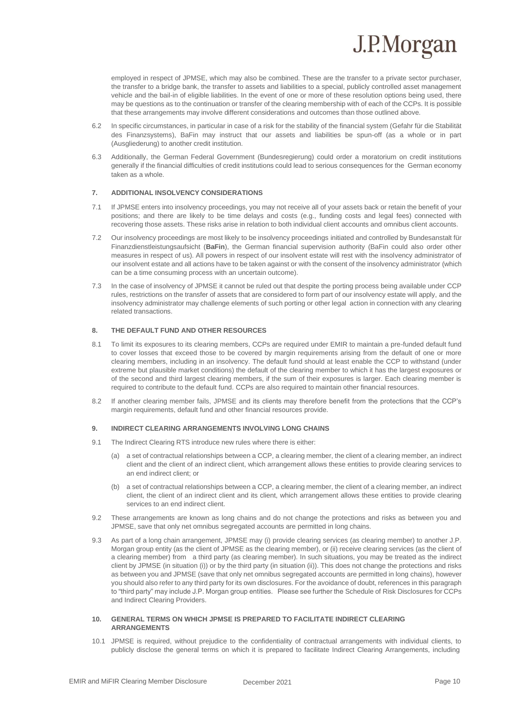

employed in respect of JPMSE, which may also be combined. These are the transfer to a private sector purchaser, the transfer to a bridge bank, the transfer to assets and liabilities to a special, publicly controlled asset management vehicle and the bail-in of eligible liabilities. In the event of one or more of these resolution options being used, there may be questions as to the continuation or transfer of the clearing membership with of each of the CCPs. It is possible that these arrangements may involve different considerations and outcomes than those outlined above.

- 6.2 In specific circumstances, in particular in case of a risk for the stability of the financial system (*Gefahr für die Stabilität des Finanzsystems*), BaFin may instruct that our assets and liabilities be spun-off (as a whole or in part (*Ausgliederung*) to another credit institution.
- 6.3 Additionally, the German Federal Government (*Bundesregierung*) could order a moratorium on credit institutions generally if the financial difficulties of credit institutions could lead to serious consequences for the German economy taken as a whole.

#### **7. ADDITIONAL INSOLVENCY CONSIDERATIONS**

- 7.1 If JPMSE enters into insolvency proceedings, you may not receive all of your assets back or retain the benefit of your positions; and there are likely to be time delays and costs (e.g., funding costs and legal fees) connected with recovering those assets. These risks arise in relation to both individual client accounts and omnibus client accounts.
- 7.2 Our insolvency proceedings are most likely to be insolvency proceedings initiated and controlled by Bundesanstalt für Finanzdienstleistungsaufsicht (*BaFin*), the German financial supervision authority (BaFin could also order other measures in respect of us). All powers in respect of our insolvent estate will rest with the insolvency administrator of our insolvent estate and all actions have to be taken against or with the consent of the insolvency administrator (which can be a time consuming process with an uncertain outcome).
- 7.3 In the case of insolvency of JPMSE it cannot be ruled out that despite the porting process being available under CCP rules, restrictions on the transfer of assets that are considered to form part of our insolvency estate will apply, and the insolvency administrator may challenge elements of such porting or other legal action in connection with any clearing related transactions.

### **8. THE DEFAULT FUND AND OTHER RESOURCES**

- 8.1 To limit its exposures to its clearing members, CCPs are required under EMIR to maintain a pre-funded default fund to cover losses that exceed those to be covered by margin requirements arising from the default of one or more clearing members, including in an insolvency. The default fund should at least enable the CCP to withstand (under extreme but plausible market conditions) the default of the clearing member to which it has the largest exposures or of the second and third largest clearing members, if the sum of their exposures is larger. Each clearing member is required to contribute to the default fund. CCPs are also required to maintain other financial resources.
- 8.2 If another clearing member fails, JPMSE and its clients may therefore benefit from the protections that the CCP's margin requirements, default fund and other financial resources provide.

#### **9. INDIRECT CLEARING ARRANGEMENTS INVOLVING LONG CHAINS**

- 9.1 The Indirect Clearing RTS introduce new rules where there is either:
	- (a) a set of contractual relationships between a CCP, a clearing member, the client of a clearing member, an indirect client and the client of an indirect client, which arrangement allows these entities to provide clearing services to an end indirect client; or
	- (b) a set of contractual relationships between a CCP, a clearing member, the client of a clearing member, an indirect client, the client of an indirect client and its client, which arrangement allows these entities to provide clearing services to an end indirect client.
- 9.2 These arrangements are known as long chains and do not change the protections and risks as between you and JPMSE, save that only net omnibus segregated accounts are permitted in long chains.
- 9.3 As part of a long chain arrangement, JPMSE may (i) provide clearing services (as clearing member) to another J.P. Morgan group entity (as the client of JPMSE as the clearing member), or (ii) receive clearing services (as the client of a clearing member) from a third party (as clearing member). In such situations, you may be treated as the indirect client by JPMSE (in situation (i)) or by the third party (in situation (ii)). This does not change the protections and risks as between you and JPMSE (save that only net omnibus segregated accounts are permitted in long chains), however you should also refer to any third party for its own disclosures. For the avoidance of doubt, references in this paragraph to "third party" may include J.P. Morgan group entities. Please see further the Schedule of Risk Disclosures for CCPs and Indirect Clearing Providers.

#### **10. GENERAL TERMS ON WHICH JPMSE IS PREPARED TO FACILITATE INDIRECT CLEARING ARRANGEMENTS**

10.1 JPMSE is required, without prejudice to the confidentiality of contractual arrangements with individual clients, to publicly disclose the general terms on which it is prepared to facilitate Indirect Clearing Arrangements, including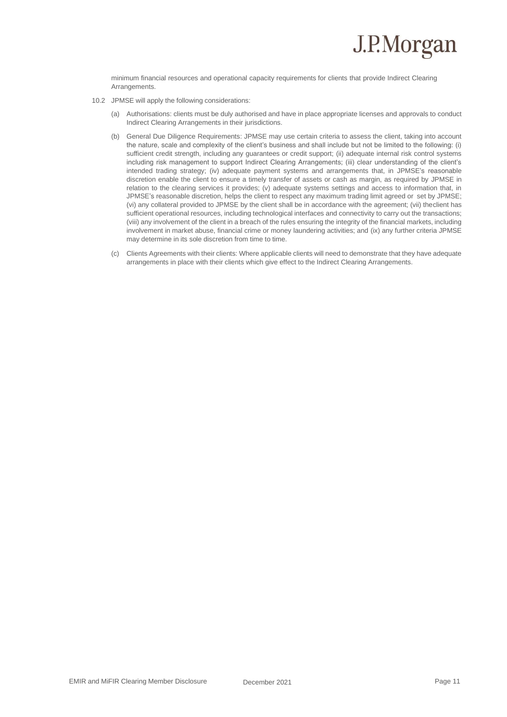minimum financial resources and operational capacity requirements for clients that provide Indirect Clearing Arrangements.

- 10.2 JPMSE will apply the following considerations:
	- (a) *Authorisations*: clients must be duly authorised and have in place appropriate licenses and approvals to conduct Indirect Clearing Arrangements in their jurisdictions.
	- (b) *General Due Diligence Requirements*: JPMSE may use certain criteria to assess the client, taking into account the nature, scale and complexity of the client's business and shall include but not be limited to the following: (i) sufficient credit strength, including any guarantees or credit support; (ii) adequate internal risk control systems including risk management to support Indirect Clearing Arrangements; (iii) clear understanding of the client's intended trading strategy; (iv) adequate payment systems and arrangements that, in JPMSE's reasonable discretion enable the client to ensure a timely transfer of assets or cash as margin, as required by JPMSE in relation to the clearing services it provides; (v) adequate systems settings and access to information that, in JPMSE's reasonable discretion, helps the client to respect any maximum trading limit agreed or set by JPMSE; (vi) any collateral provided to JPMSE by the client shall be in accordance with the agreement; (vii) theclient has sufficient operational resources, including technological interfaces and connectivity to carry out the transactions; (viii) any involvement of the client in a breach of the rules ensuring the integrity of the financial markets, including involvement in market abuse, financial crime or money laundering activities; and (ix) any further criteria JPMSE may determine in its sole discretion from time to time.
	- (c) *Clients Agreements with their clients*: Where applicable clients will need to demonstrate that they have adequate arrangements in place with their clients which give effect to the Indirect Clearing Arrangements.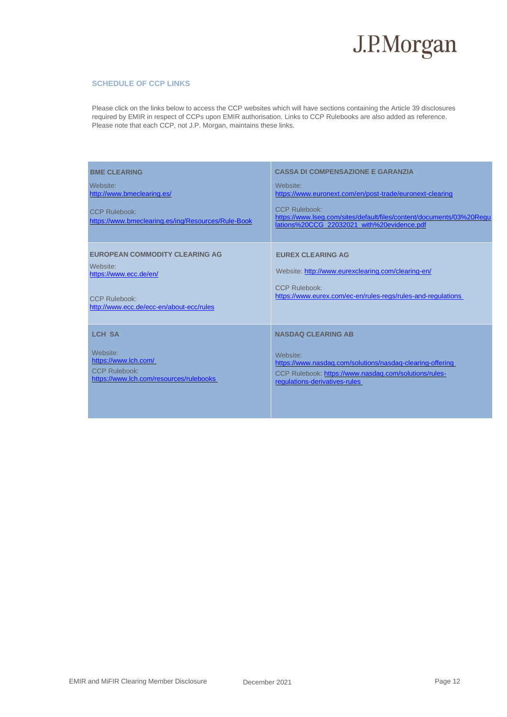

#### **SCHEDULE OF CCP LINKS**

Please click on the links below to access the CCP websites which will have sections containing the Article 39 disclosures required by EMIR in respect of CCPs upon EMIR authorisation. Links to CCP Rulebooks are also added as reference. Please note that each CCP, not J.P. Morgan, maintains these links.

| <b>BME CLEARING</b><br>Website:<br>http://www.bmeclearing.es/<br>CCP Rulebook:<br>https://www.bmeclearing.es/ing/Resources/Rule-Book     | <b>CASSA DI COMPENSAZIONE E GARANZIA</b><br>Website:<br>https://www.euronext.com/en/post-trade/euronext-clearing<br><b>CCP Rulebook:</b><br>https://www.lseg.com/sites/default/files/content/documents/03%20Regu<br>lations%20CCG_22032021_with%20evidence.pdf |
|------------------------------------------------------------------------------------------------------------------------------------------|----------------------------------------------------------------------------------------------------------------------------------------------------------------------------------------------------------------------------------------------------------------|
| <b>EUROPEAN COMMODITY CLEARING AG</b><br>Website:<br>https://www.ecc.de/en/<br>CCP Rulebook:<br>http://www.ecc.de/ecc-en/about-ecc/rules | <b>EUREX CLEARING AG</b><br>Website: http://www.eurexclearing.com/clearing-en/<br>CCP Rulebook:<br>https://www.eurex.com/ec-en/rules-regs/rules-and-regulations                                                                                                |
| <b>LCH SA</b><br>Website:<br>https://www.lch.com/<br><b>CCP Rulebook:</b><br>https://www.lch.com/resources/rulebooks                     | <b>NASDAQ CLEARING AB</b><br>Website:<br>https://www.nasdag.com/solutions/nasdag-clearing-offering<br>CCP Rulebook: https://www.nasdaq.com/solutions/rules-<br>regulations-derivatives-rules                                                                   |